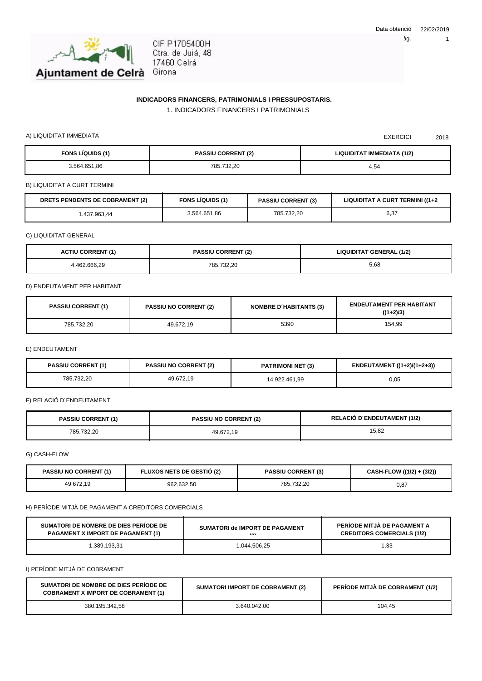

## **INDICADORS FINANCERS, PATRIMONIALS I PRESSUPOSTARIS.**

1. INDICADORS FINANCERS I PATRIMONIALS

A) LIQUIDITAT IMMEDIATA 2018

| <b>FONS LÍQUIDS (1)</b> | <b>PASSIU CORRENT (2)</b> | LIQUIDITAT IMMEDIATA (1/2) |
|-------------------------|---------------------------|----------------------------|
| 3.564.651,86            | 785.732,20                | 4,54                       |

B) LIQUIDITAT A CURT TERMINI

| <b>S PENDENTS DE COBRAMENT (2)</b> | <b>FONS LIQUIDS (1)</b> | <b>PASSIU CORRENT (3)</b> | LIQUIDITAT A CURT TERMINI ((1+2) |
|------------------------------------|-------------------------|---------------------------|----------------------------------|
| 437.963,44                         | 3.564.651.86            | 785.732.20                | 6,37                             |

C) LIQUIDITAT GENERAL

| <b>ACTIU CORRENT (1)</b> | <b>PASSIU CORRENT (2)</b> | <b>LIQUIDITAT GENERAL (1/2)</b> |
|--------------------------|---------------------------|---------------------------------|
| 4.462.666.29             | 785.732.20                | 5,68                            |

D) ENDEUTAMENT PER HABITANT

| <b>PASSIU CORRENT (1)</b> | <b>PASSIU NO CORRENT (2)</b> | <b>NOMBRE D'HABITANTS (3)</b> | <b>ENDEUTAMENT PER HABITANT</b><br>$((1+2)/3)$ |
|---------------------------|------------------------------|-------------------------------|------------------------------------------------|
| 785.732.20                | 49.672.19                    | 5390                          | 154.99                                         |

E) ENDEUTAMENT

| <b>PASSIU CORRENT (1)</b> | <b>PASSIU NO CORRENT (2)</b> | <b>PATRIMONI NET (3)</b> | ENDEUTAMENT ((1+2)/(1+2+3)) |
|---------------------------|------------------------------|--------------------------|-----------------------------|
| 785.732.20                | 49.672.19                    | 14.922.461.99            | 0,05                        |

F) RELACIÓ D´ENDEUTAMENT

| <b>PASSIU CORRENT (1)</b> | <b>PASSIU NO CORRENT (2)</b> | <b>RELACIÓ D'ENDEUTAMENT (1/2)</b> |
|---------------------------|------------------------------|------------------------------------|
| 785.732.20                | 49.672.19                    | 15,82                              |

G) CASH-FLOW

| <b>PASSIU NO CORRENT (1)</b> | <b>FLUXOS NETS DE GESTIO (2)</b> | <b>PASSIU CORRENT (3)</b> | CASH-FLOW ((1/2) + (3/2)) |
|------------------------------|----------------------------------|---------------------------|---------------------------|
| 49.672.19                    | 962.632,50                       | 785.732.20                | 0,87                      |

H) PERÍODE MITJÀ DE PAGAMENT A CREDITORS COMERCIALS

| SUMATORI DE NOMBRE DE DIES PERIODE DE    | SUMATORI de IMPORT DE PAGAMENT | PERIODE MITJA DE PAGAMENT A       |
|------------------------------------------|--------------------------------|-----------------------------------|
| <b>PAGAMENT X IMPORT DE PAGAMENT (1)</b> | $\sim$                         | <b>CREDITORS COMERCIALS (1/2)</b> |
| .389.193.31                              | 044.506.25                     | 33. ا                             |

I) PERÍODE MITJÀ DE COBRAMENT

| SUMATORI DE NOMBRE DE DIES PERIODE DE<br><b>COBRAMENT X IMPORT DE COBRAMENT (1)</b> | <b>SUMATORI IMPORT DE COBRAMENT (2)</b> | <b>PERIODE MITJA DE COBRAMENT (1/2)</b> |
|-------------------------------------------------------------------------------------|-----------------------------------------|-----------------------------------------|
| 380.195.342,58                                                                      | 3.640.042.00                            | 104.45                                  |